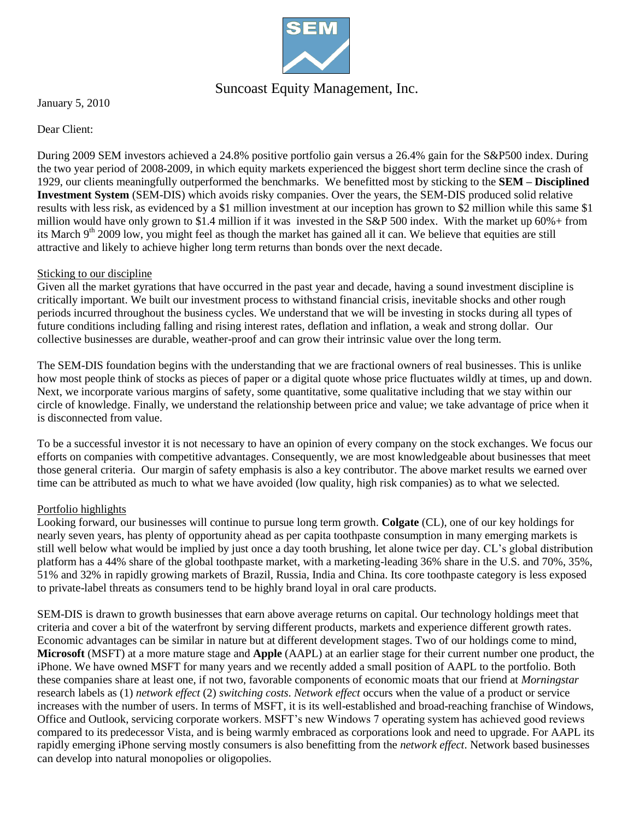

## Suncoast Equity Management, Inc.

January 5, 2010

Dear Client:

During 2009 SEM investors achieved a 24.8% positive portfolio gain versus a 26.4% gain for the S&P500 index. During the two year period of 2008-2009, in which equity markets experienced the biggest short term decline since the crash of 1929, our clients meaningfully outperformed the benchmarks. We benefitted most by sticking to the **SEM – Disciplined Investment System** (SEM-DIS) which avoids risky companies. Over the years, the SEM-DIS produced solid relative results with less risk, as evidenced by a \$1 million investment at our inception has grown to \$2 million while this same \$1 million would have only grown to \$1.4 million if it was invested in the  $S\&P$  500 index. With the market up 60% + from its March  $9<sup>th</sup>$  2009 low, you might feel as though the market has gained all it can. We believe that equities are still attractive and likely to achieve higher long term returns than bonds over the next decade.

#### Sticking to our discipline

Given all the market gyrations that have occurred in the past year and decade, having a sound investment discipline is critically important. We built our investment process to withstand financial crisis, inevitable shocks and other rough periods incurred throughout the business cycles. We understand that we will be investing in stocks during all types of future conditions including falling and rising interest rates, deflation and inflation, a weak and strong dollar. Our collective businesses are durable, weather-proof and can grow their intrinsic value over the long term.

The SEM-DIS foundation begins with the understanding that we are fractional owners of real businesses. This is unlike how most people think of stocks as pieces of paper or a digital quote whose price fluctuates wildly at times, up and down. Next, we incorporate various margins of safety, some quantitative, some qualitative including that we stay within our circle of knowledge. Finally, we understand the relationship between price and value; we take advantage of price when it is disconnected from value.

To be a successful investor it is not necessary to have an opinion of every company on the stock exchanges. We focus our efforts on companies with competitive advantages. Consequently, we are most knowledgeable about businesses that meet those general criteria. Our margin of safety emphasis is also a key contributor. The above market results we earned over time can be attributed as much to what we have avoided (low quality, high risk companies) as to what we selected.

### Portfolio highlights

Looking forward, our businesses will continue to pursue long term growth. **Colgate** (CL), one of our key holdings for nearly seven years, has plenty of opportunity ahead as per capita toothpaste consumption in many emerging markets is still well below what would be implied by just once a day tooth brushing, let alone twice per day. CL's global distribution platform has a 44% share of the global toothpaste market, with a marketing-leading 36% share in the U.S. and 70%, 35%, 51% and 32% in rapidly growing markets of Brazil, Russia, India and China. Its core toothpaste category is less exposed to private-label threats as consumers tend to be highly brand loyal in oral care products.

SEM-DIS is drawn to growth businesses that earn above average returns on capital. Our technology holdings meet that criteria and cover a bit of the waterfront by serving different products, markets and experience different growth rates. Economic advantages can be similar in nature but at different development stages. Two of our holdings come to mind, **Microsoft** (MSFT) at a more mature stage and **Apple** (AAPL) at an earlier stage for their current number one product, the iPhone. We have owned MSFT for many years and we recently added a small position of AAPL to the portfolio. Both these companies share at least one, if not two, favorable components of economic moats that our friend at *Morningstar* research labels as (1) *network effect* (2) *switching costs*. *Network effect* occurs when the value of a product or service increases with the number of users. In terms of MSFT, it is its well-established and broad-reaching franchise of Windows, Office and Outlook, servicing corporate workers. MSFT's new Windows 7 operating system has achieved good reviews compared to its predecessor Vista, and is being warmly embraced as corporations look and need to upgrade. For AAPL its rapidly emerging iPhone serving mostly consumers is also benefitting from the *network effect*. Network based businesses can develop into natural monopolies or oligopolies.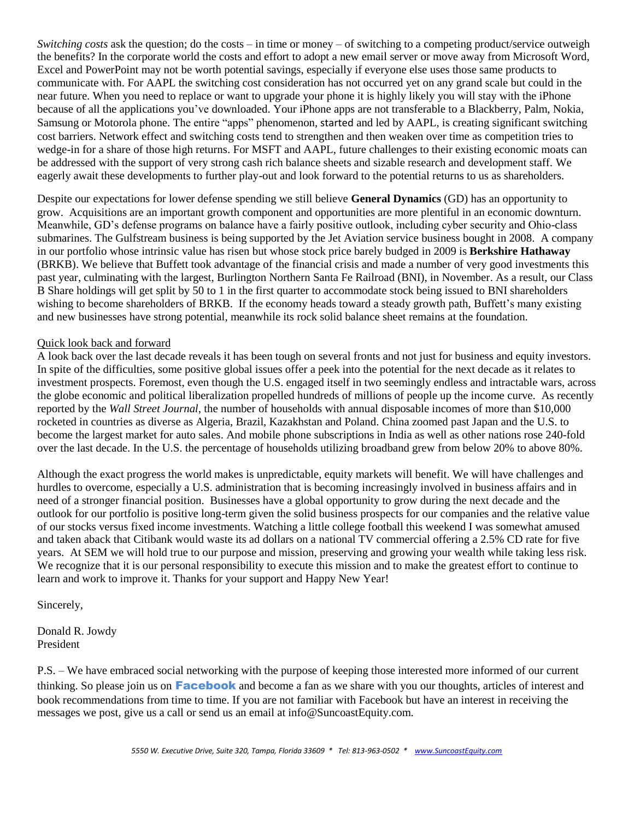*Switching costs* ask the question; do the costs – in time or money – of switching to a competing product/service outweigh the benefits? In the corporate world the costs and effort to adopt a new email server or move away from Microsoft Word, Excel and PowerPoint may not be worth potential savings, especially if everyone else uses those same products to communicate with. For AAPL the switching cost consideration has not occurred yet on any grand scale but could in the near future. When you need to replace or want to upgrade your phone it is highly likely you will stay with the iPhone because of all the applications you've downloaded. Your iPhone apps are not transferable to a Blackberry, Palm, Nokia, Samsung or Motorola phone. The entire "apps" phenomenon, started and led by AAPL, is creating significant switching cost barriers. Network effect and switching costs tend to strengthen and then weaken over time as competition tries to wedge-in for a share of those high returns. For MSFT and AAPL, future challenges to their existing economic moats can be addressed with the support of very strong cash rich balance sheets and sizable research and development staff. We eagerly await these developments to further play-out and look forward to the potential returns to us as shareholders.

Despite our expectations for lower defense spending we still believe **General Dynamics** (GD) has an opportunity to grow. Acquisitions are an important growth component and opportunities are more plentiful in an economic downturn. Meanwhile, GD's defense programs on balance have a fairly positive outlook, including cyber security and Ohio-class submarines. The Gulfstream business is being supported by the Jet Aviation service business bought in 2008. A company in our portfolio whose intrinsic value has risen but whose stock price barely budged in 2009 is **Berkshire Hathaway** (BRKB). We believe that Buffett took advantage of the financial crisis and made a number of very good investments this past year, culminating with the largest, Burlington Northern Santa Fe Railroad (BNI), in November. As a result, our Class B Share holdings will get split by 50 to 1 in the first quarter to accommodate stock being issued to BNI shareholders wishing to become shareholders of BRKB. If the economy heads toward a steady growth path, Buffett's many existing and new businesses have strong potential, meanwhile its rock solid balance sheet remains at the foundation.

#### Quick look back and forward

A look back over the last decade reveals it has been tough on several fronts and not just for business and equity investors. In spite of the difficulties, some positive global issues offer a peek into the potential for the next decade as it relates to investment prospects. Foremost, even though the U.S. engaged itself in two seemingly endless and intractable wars, across the globe economic and political liberalization propelled hundreds of millions of people up the income curve. As recently reported by the *Wall Street Journal*, the number of households with annual disposable incomes of more than \$10,000 rocketed in countries as diverse as Algeria, Brazil, Kazakhstan and Poland. China zoomed past Japan and the U.S. to become the largest market for auto sales. And mobile phone subscriptions in India as well as other nations rose 240-fold over the last decade. In the U.S. the percentage of households utilizing broadband grew from below 20% to above 80%.

Although the exact progress the world makes is unpredictable, equity markets will benefit. We will have challenges and hurdles to overcome, especially a U.S. administration that is becoming increasingly involved in business affairs and in need of a stronger financial position. Businesses have a global opportunity to grow during the next decade and the outlook for our portfolio is positive long-term given the solid business prospects for our companies and the relative value of our stocks versus fixed income investments. Watching a little college football this weekend I was somewhat amused and taken aback that Citibank would waste its ad dollars on a national TV commercial offering a 2.5% CD rate for five years. At SEM we will hold true to our purpose and mission, preserving and growing your wealth while taking less risk. We recognize that it is our personal responsibility to execute this mission and to make the greatest effort to continue to learn and work to improve it. Thanks for your support and Happy New Year!

#### Sincerely,

Donald R. Jowdy President

P.S. – We have embraced social networking with the purpose of keeping those interested more informed of our current thinking. So please join us on **Facebook** and become a fan as we share with you our thoughts, articles of interest and book recommendations from time to time. If you are not familiar with Facebook but have an interest in receiving the messages we post, give us a call or send us an email at info@SuncoastEquity.com.